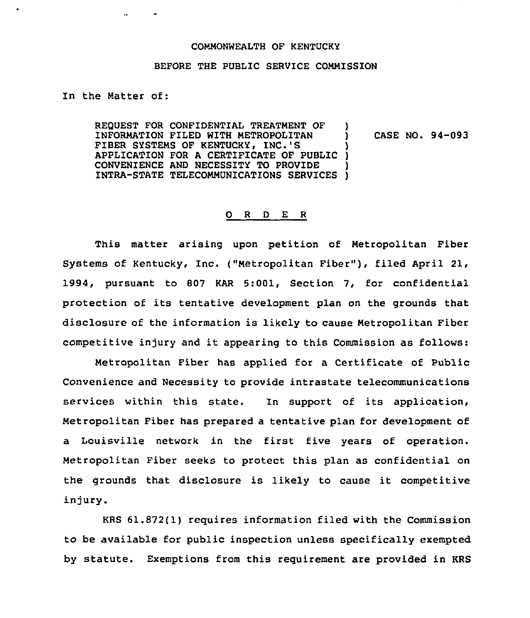## COMMONWEALTH OF KENTUCKY

## BEFORE THE PUBLIC SERVICE COMMISSION

In the Matter of:

 $\sim$ 

REQUEST FOR CONFIDENTIAL TREATMENT OF INFORMATION FILED WITH METROPOLITAN FIBER SYSTEMS OF KENTUCKY, INC.'S APPLICATION FOR A CERTIFICATE OF PUBLIC ) CONVENIENCE AND NECESSITY TO PROVIDE INTRA-STATE TELECOMMUNICATIONS SERVICES ) ) ) CASE NO. 94-093 )

## 0 R <sup>D</sup> E R

This matter arising upon petition of Metropolitan Fiber Systems of Kentucky, Inc. ("Metropolitan Fiber" ), filed April 21, 1994, pursuant to 807 KAR 5:001, Section 7, for confidential protection of its tentative development plan on the grounds that disclosure of the information is likely to cause Metropolitan Fiber competitive injury and it appearing to this Commission as follows:

Metropolitan Fiber has applied for a Certificate of Public Convenience and Necessity to provide intrastate telecommunications services within this state. In support of its application, Metropolitan Fiber has prepared a tentative plan for development of a Louisville network in the first five years of operation. Metropolitan Fiber seeks to protect this plan as confidential on the grounds that disclosure is likely to cause it competitive injury.

KRS 61.872(1) requires information filed with the Commission to be available for public inspection unless specifically exempted by statute. Exemptions from this requirement are provided in KRS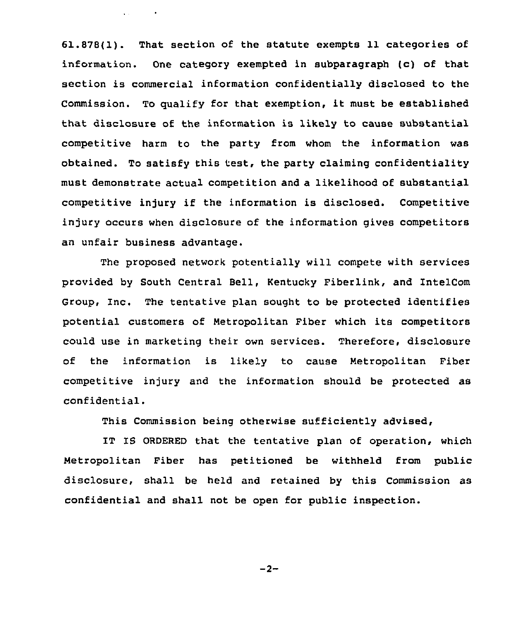61.878(1). That section of the statute exempts 11 categories of information. One category exempted in subparagraph (c) of that section is commercial information confidentially disclosed to the Commission. To qualify for that exemption, it must be established that disclosure of the information is likely to cause substantial competitive harm to the party from whom the information was obtained. To satisfy this test, the party claiming confidentiality must demonstrate actual competition and a likelihood of substantial competitive injury if the information is disclosed. Competitive injury occurs when disclosure of the information gives competitors an unfair business advantage.

 $\Delta$  and  $\Delta$  are  $\Delta$  . The  $\Delta$  -field  $\Delta$ 

The proposed network potentially will compete with services provided by South Central Bell, Kentucky Fiberlink, and IntelCom Group, Inc. The tentative plan sought to be protected identifies potential customers of Metropolitan Fiber which its competitors could use in marketing their own services. Therefore, disclosure of the information is likely to cause Metropolitan Fiber competitive injury and the information should be protected as confidential.

This Commission being otherwise sufficiently advised,

IT IS ORDERED that the tentative plan of operation, which Metropolitan Fiber has petitioned be withheld from public disclosure, shall be held and retained by this Commission as confidential and shall not be open for public inspection.

$$
-2-
$$